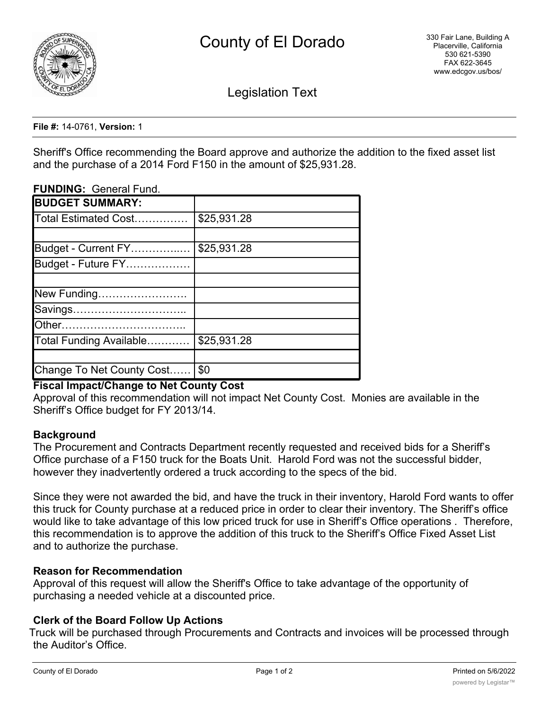

Legislation Text

#### **File #:** 14-0761, **Version:** 1

Sheriff's Office recommending the Board approve and authorize the addition to the fixed asset list and the purchase of a 2014 Ford F150 in the amount of \$25,931.28.

### **FUNDING:** General Fund.

| \$25,931.28                     |
|---------------------------------|
|                                 |
| \$25,931.28                     |
|                                 |
|                                 |
|                                 |
|                                 |
|                                 |
| \$25,931.28                     |
|                                 |
| Change To Net County Cost   \$0 |
|                                 |

## **Fiscal Impact/Change to Net County Cost**

Approval of this recommendation will not impact Net County Cost. Monies are available in the Sheriff's Office budget for FY 2013/14.

### **Background**

The Procurement and Contracts Department recently requested and received bids for a Sheriff's Office purchase of a F150 truck for the Boats Unit. Harold Ford was not the successful bidder, however they inadvertently ordered a truck according to the specs of the bid.

Since they were not awarded the bid, and have the truck in their inventory, Harold Ford wants to offer this truck for County purchase at a reduced price in order to clear their inventory. The Sheriff's office would like to take advantage of this low priced truck for use in Sheriff's Office operations . Therefore, this recommendation is to approve the addition of this truck to the Sheriff's Office Fixed Asset List and to authorize the purchase.

### **Reason for Recommendation**

Approval of this request will allow the Sheriff's Office to take advantage of the opportunity of purchasing a needed vehicle at a discounted price.

## **Clerk of the Board Follow Up Actions**

Truck will be purchased through Procurements and Contracts and invoices will be processed through the Auditor's Office.